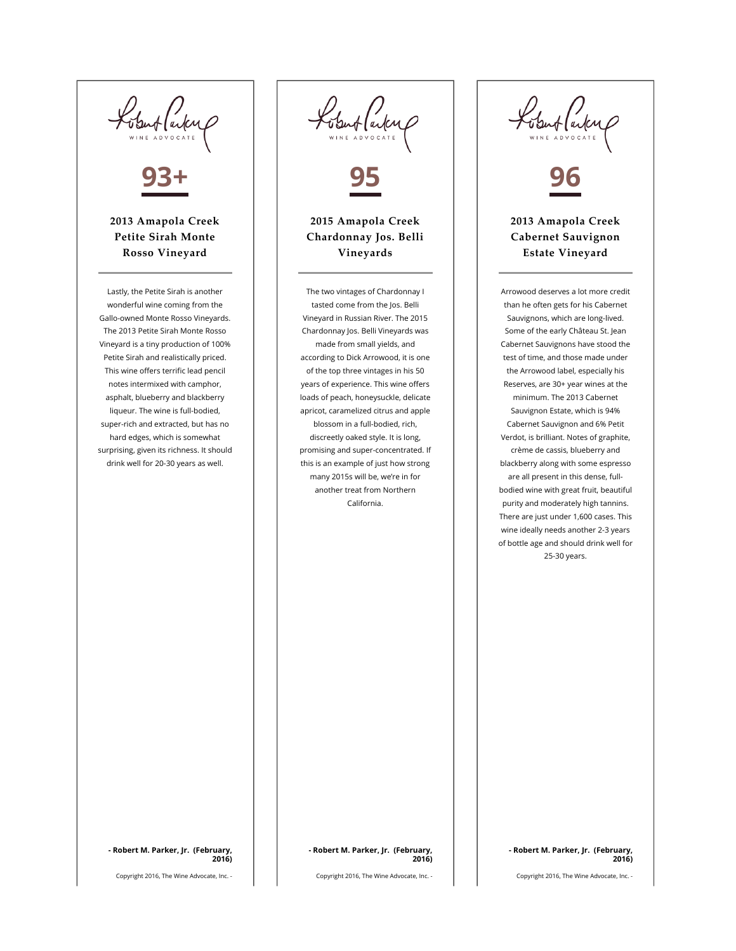Lobert Carter 93+ 2013 Amapola Creek Petite Sirah Monte Rosso Vineyard Lastly, the Petite Sirah is another wonderful wine coming from the Gallo-owned Monte Rosso Vineyards. The 2013 Petite Sirah Monte Rosso Vineyard is a tiny production of 100% Petite Sirah and realistically priced. This wine offers terrific lead pencil notes intermixed with camphor, asphalt, blueberry and blackberry liqueur. The wine is full-bodied,

super-rich and extracted, but has no hard edges, which is somewhat surprising, given its richness. It should drink well for 20-30 years as well.

Kobert (arkup 95

## 2015 Amapola Creek Chardonnay Jos. Belli Vineyards

The two vintages of Chardonnay I tasted come from the Jos. Belli Vineyard in Russian River. The 2015 Chardonnay Jos. Belli Vineyards was made from small yields, and according to Dick Arrowood, it is one of the top three vintages in his 50 years of experience. This wine offers loads of peach, honeysuckle, delicate apricot, caramelized citrus and apple blossom in a full-bodied, rich, discreetly oaked style. It is long, promising and super-concentrated. If this is an example of just how strong many 2015s will be, we're in for another treat from Northern California.

Ventlaile 96

## 2013 Amapola Creek Cabernet Sauvignon Estate Vineyard

Arrowood deserves a lot more credit than he often gets for his Cabernet Sauvignons, which are long-lived. Some of the early Château St. Jean Cabernet Sauvignons have stood the test of time, and those made under the Arrowood label, especially his Reserves, are 30+ year wines at the minimum. The 2013 Cabernet Sauvignon Estate, which is 94% Cabernet Sauvignon and 6% Petit Verdot, is brilliant. Notes of graphite, crème de cassis, blueberry and blackberry along with some espresso are all present in this dense, fullbodied wine with great fruit, beautiful purity and moderately high tannins. There are just under 1,600 cases. This wine ideally needs another 2-3 years of bottle age and should drink well for 25-30 years.

- Robert M. Parker, Jr. (February, 2016)

Copyright 2016, The Wine Advocate, Inc. -

Copyright 2016, The Wine Advocate, Inc. -

- Robert M. Parker, Jr. (February, 2016)

Copyright 2016, The Wine Advocate, Inc. -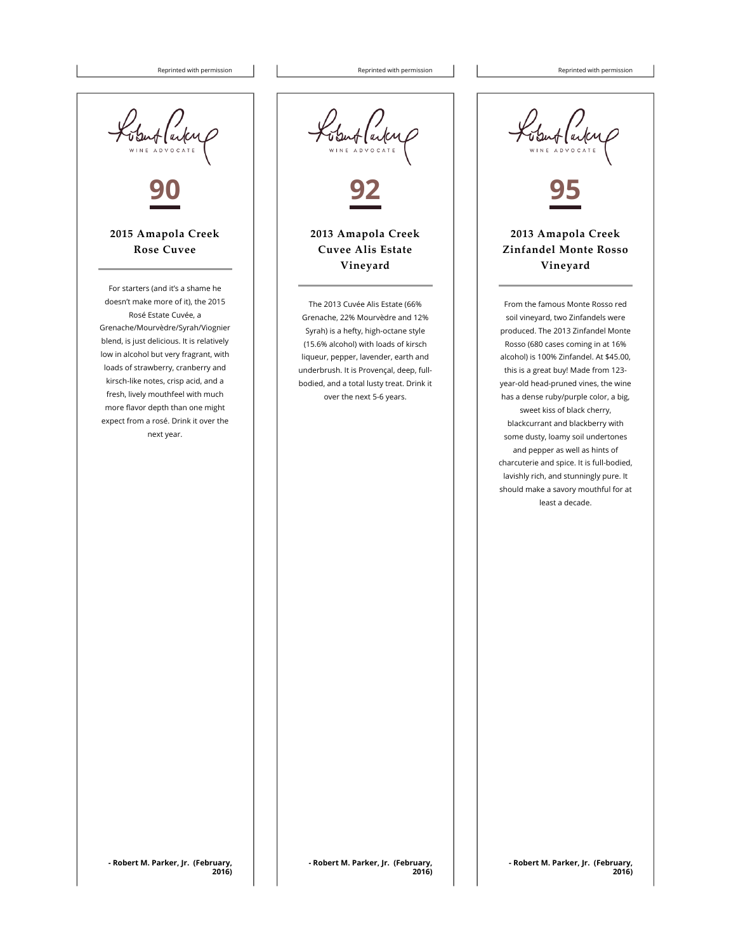Reprinted with permission  $\begin{vmatrix} \cdot & \cdot & \cdot \\ \cdot & \cdot & \cdot \\ \cdot & \cdot & \cdot \end{vmatrix}$  Reprinted with permission Reprinted with permission



bluf (autre 92

2013 Amapola Creek Cuvee Alis Estate Vineyard

The 2013 Cuvée Alis Estate (66% Grenache, 22% Mourvèdre and 12% Syrah) is a hefty, high-octane style (15.6% alcohol) with loads of kirsch liqueur, pepper, lavender, earth and underbrush. It is Provençal, deep, fullbodied, and a total lusty treat. Drink it over the next 5-6 years.

Ubut (auteur 95

2013 Amapola Creek Zinfandel Monte Rosso Vineyard

From the famous Monte Rosso red soil vineyard, two Zinfandels were produced. The 2013 Zinfandel Monte Rosso (680 cases coming in at 16% alcohol) is 100% Zinfandel. At \$45.00, this is a great buy! Made from 123 year-old head-pruned vines, the wine has a dense ruby/purple color, a big, sweet kiss of black cherry, blackcurrant and blackberry with some dusty, loamy soil undertones and pepper as well as hints of charcuterie and spice. It is full-bodied, lavishly rich, and stunningly pure. It should make a savory mouthful for at least a decade.